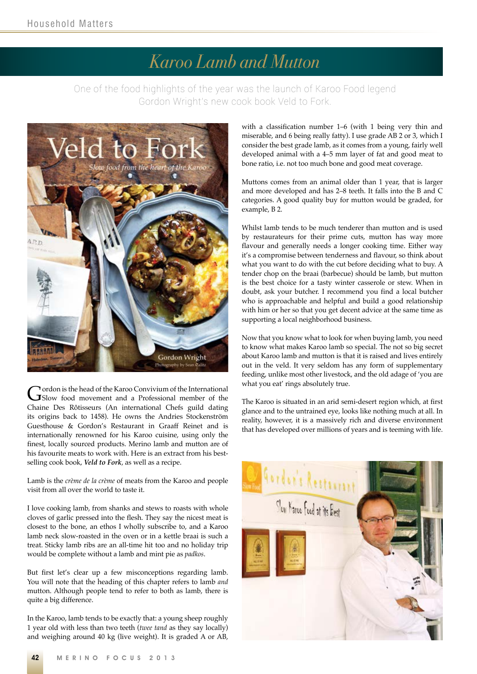## *Karoo Lamb and Mutton*

One of the food highlights of the year was the launch of Karoo Food legend Gordon Wright's new cook book Veld to Fork.



Gordon is the head of the Karoo Convivium of the International<br>
Slow food movement and a Professional member of the Chaine Des Rôtisseurs (An international Chefs guild dating its origins back to 1458). He owns the Andries Stockenström Guesthouse & Gordon's Restaurant in Graaff Reinet and is internationally renowned for his Karoo cuisine, using only the finest, locally sourced products. Merino lamb and mutton are of his favourite meats to work with. Here is an extract from his bestselling cook book, *Veld to Fork*, as well as a recipe.

Lamb is the *crème de la crème* of meats from the Karoo and people visit from all over the world to taste it.

I love cooking lamb, from shanks and stews to roasts with whole cloves of garlic pressed into the flesh. They say the nicest meat is closest to the bone, an ethos I wholly subscribe to, and a Karoo lamb neck slow-roasted in the oven or in a kettle braai is such a treat. Sticky lamb ribs are an all-time hit too and no holiday trip would be complete without a lamb and mint pie as *padkos*.

But first let's clear up a few misconceptions regarding lamb. You will note that the heading of this chapter refers to lamb *and* mutton. Although people tend to refer to both as lamb, there is quite a big difference.

In the Karoo, lamb tends to be exactly that: a young sheep roughly 1 year old with less than two teeth (*twee tand* as they say locally) and weighing around 40 kg (live weight). It is graded A or AB,

with a classification number 1–6 (with 1 being very thin and miserable, and 6 being really fatty). I use grade AB 2 or 3, which I consider the best grade lamb, as it comes from a young, fairly well developed animal with a 4–5 mm layer of fat and good meat to bone ratio, i.e. not too much bone and good meat coverage.

Muttons comes from an animal older than 1 year, that is larger and more developed and has 2–8 teeth. It falls into the B and C categories. A good quality buy for mutton would be graded, for example, B 2.

Whilst lamb tends to be much tenderer than mutton and is used by restaurateurs for their prime cuts, mutton has way more flavour and generally needs a longer cooking time. Either way it's a compromise between tenderness and flavour, so think about what you want to do with the cut before deciding what to buy. A tender chop on the braai (barbecue) should be lamb, but mutton is the best choice for a tasty winter casserole or stew. When in doubt, ask your butcher. I recommend you find a local butcher who is approachable and helpful and build a good relationship with him or her so that you get decent advice at the same time as supporting a local neighborhood business.

Now that you know what to look for when buying lamb, you need to know what makes Karoo lamb so special. The not so big secret about Karoo lamb and mutton is that it is raised and lives entirely out in the veld. It very seldom has any form of supplementary feeding, unlike most other livestock, and the old adage of 'you are what you eat' rings absolutely true.

The Karoo is situated in an arid semi-desert region which, at first glance and to the untrained eye, looks like nothing much at all. In reality, however, it is a massively rich and diverse environment that has developed over millions of years and is teeming with life.